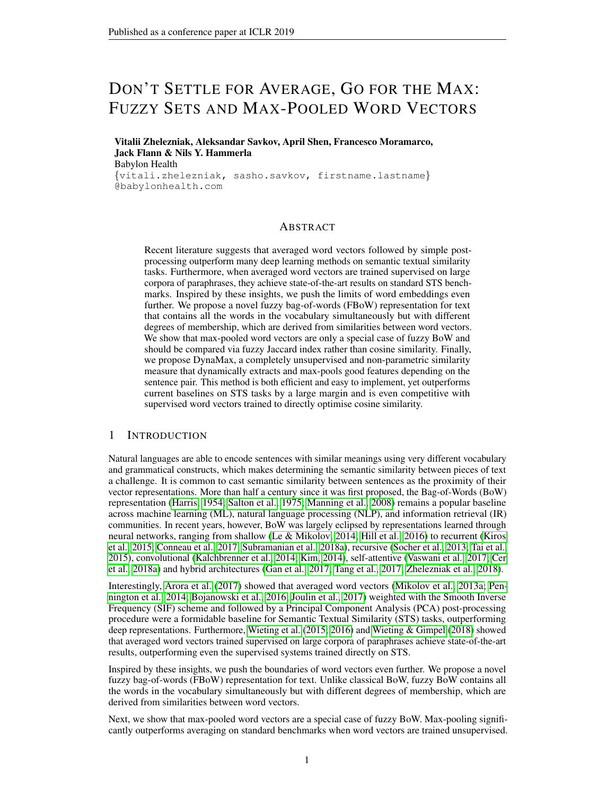# DON'T SETTLE FOR AVERAGE, GO FOR THE MAX: FUZZY SETS AND MAX-POOLED WORD VECTORS

Vitalii Zhelezniak, Aleksandar Savkov, April Shen, Francesco Moramarco, Jack Flann & Nils Y. Hammerla Babylon Health {vitali.zhelezniak, sasho.savkov, firstname.lastname} @babylonhealth.com

### ABSTRACT

Recent literature suggests that averaged word vectors followed by simple postprocessing outperform many deep learning methods on semantic textual similarity tasks. Furthermore, when averaged word vectors are trained supervised on large corpora of paraphrases, they achieve state-of-the-art results on standard STS benchmarks. Inspired by these insights, we push the limits of word embeddings even further. We propose a novel fuzzy bag-of-words (FBoW) representation for text that contains all the words in the vocabulary simultaneously but with different degrees of membership, which are derived from similarities between word vectors. We show that max-pooled word vectors are only a special case of fuzzy BoW and should be compared via fuzzy Jaccard index rather than cosine similarity. Finally, we propose DynaMax, a completely unsupervised and non-parametric similarity measure that dynamically extracts and max-pools good features depending on the sentence pair. This method is both efficient and easy to implement, yet outperforms current baselines on STS tasks by a large margin and is even competitive with supervised word vectors trained to directly optimise cosine similarity.

#### 1 INTRODUCTION

Natural languages are able to encode sentences with similar meanings using very different vocabulary and grammatical constructs, which makes determining the semantic similarity between pieces of text a challenge. It is common to cast semantic similarity between sentences as the proximity of their vector representations. More than half a century since it was first proposed, the Bag-of-Words (BoW) representation [\(Harris, 1954;](#page-10-0) [Salton et al., 1975;](#page-11-0) [Manning et al., 2008\)](#page-11-1) remains a popular baseline across machine learning (ML), natural language processing (NLP), and information retrieval (IR) communities. In recent years, however, BoW was largely eclipsed by representations learned through neural networks, ranging from shallow [\(Le & Mikolov, 2014;](#page-11-2) [Hill et al., 2016\)](#page-10-1) to recurrent [\(Kiros](#page-10-2) [et al., 2015;](#page-10-2) [Conneau et al., 2017;](#page-9-0) [Subramanian et al., 2018a\)](#page-11-3), recursive [\(Socher et al., 2013;](#page-11-4) [Tai et al.,](#page-12-0) [2015\)](#page-12-0), convolutional [\(Kalchbrenner et al., 2014;](#page-10-3) [Kim, 2014\)](#page-10-4), self-attentive [\(Vaswani et al., 2017;](#page-12-1) [Cer](#page-9-1) [et al., 2018a\)](#page-9-1) and hybrid architectures [\(Gan et al., 2017;](#page-9-2) [Tang et al., 2017;](#page-12-2) [Zhelezniak et al., 2018\)](#page-12-3).

Interestingly, [Arora et al.](#page-9-3) [\(2017\)](#page-9-3) showed that averaged word vectors [\(Mikolov et al., 2013a;](#page-11-5) [Pen](#page-11-6)[nington et al., 2014;](#page-11-6) [Bojanowski et al., 2016;](#page-9-4) [Joulin et al., 2017\)](#page-10-5) weighted with the Smooth Inverse Frequency (SIF) scheme and followed by a Principal Component Analysis (PCA) post-processing procedure were a formidable baseline for Semantic Textual Similarity (STS) tasks, outperforming deep representations. Furthermore, [Wieting et al.](#page-12-4) [\(2015;](#page-12-4) [2016\)](#page-12-5) and [Wieting & Gimpel](#page-12-6) [\(2018\)](#page-12-6) showed that averaged word vectors trained supervised on large corpora of paraphrases achieve state-of-the-art results, outperforming even the supervised systems trained directly on STS.

Inspired by these insights, we push the boundaries of word vectors even further. We propose a novel fuzzy bag-of-words (FBoW) representation for text. Unlike classical BoW, fuzzy BoW contains all the words in the vocabulary simultaneously but with different degrees of membership, which are derived from similarities between word vectors.

Next, we show that max-pooled word vectors are a special case of fuzzy BoW. Max-pooling significantly outperforms averaging on standard benchmarks when word vectors are trained unsupervised.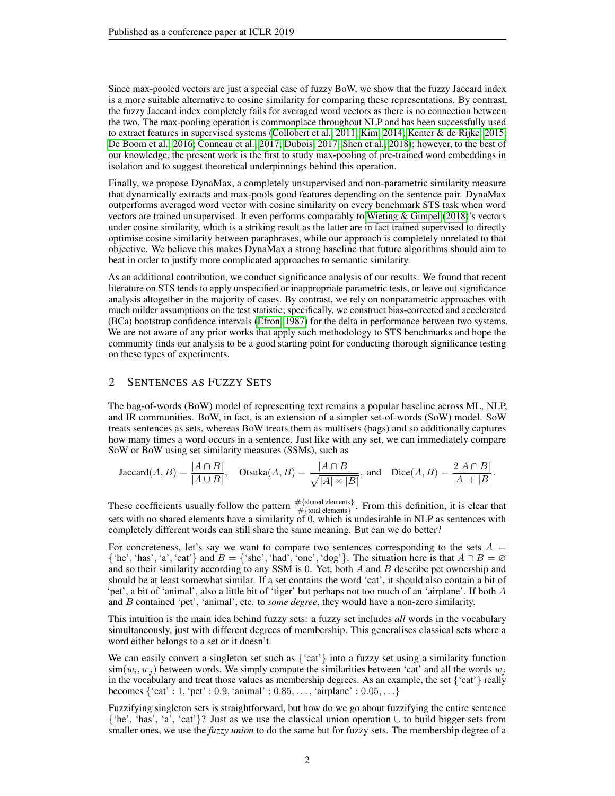Since max-pooled vectors are just a special case of fuzzy BoW, we show that the fuzzy Jaccard index is a more suitable alternative to cosine similarity for comparing these representations. By contrast, the fuzzy Jaccard index completely fails for averaged word vectors as there is no connection between the two. The max-pooling operation is commonplace throughout NLP and has been successfully used to extract features in supervised systems [\(Collobert et al., 2011;](#page-9-5) [Kim, 2014;](#page-10-4) [Kenter & de Rijke, 2015;](#page-10-6) [De Boom et al., 2016;](#page-9-6) [Conneau et al., 2017;](#page-9-0) [Dubois, 2017;](#page-9-7) [Shen et al., 2018\)](#page-11-7); however, to the best of our knowledge, the present work is the first to study max-pooling of pre-trained word embeddings in isolation and to suggest theoretical underpinnings behind this operation.

Finally, we propose DynaMax, a completely unsupervised and non-parametric similarity measure that dynamically extracts and max-pools good features depending on the sentence pair. DynaMax outperforms averaged word vector with cosine similarity on every benchmark STS task when word vectors are trained unsupervised. It even performs comparably to [Wieting & Gimpel](#page-12-6) [\(2018\)](#page-12-6)'s vectors under cosine similarity, which is a striking result as the latter are in fact trained supervised to directly optimise cosine similarity between paraphrases, while our approach is completely unrelated to that objective. We believe this makes DynaMax a strong baseline that future algorithms should aim to beat in order to justify more complicated approaches to semantic similarity.

As an additional contribution, we conduct significance analysis of our results. We found that recent literature on STS tends to apply unspecified or inappropriate parametric tests, or leave out significance analysis altogether in the majority of cases. By contrast, we rely on nonparametric approaches with much milder assumptions on the test statistic; specifically, we construct bias-corrected and accelerated (BCa) bootstrap confidence intervals [\(Efron, 1987\)](#page-9-8) for the delta in performance between two systems. We are not aware of any prior works that apply such methodology to STS benchmarks and hope the community finds our analysis to be a good starting point for conducting thorough significance testing on these types of experiments.

# <span id="page-1-0"></span>2 SENTENCES AS FUZZY SETS

The bag-of-words (BoW) model of representing text remains a popular baseline across ML, NLP, and IR communities. BoW, in fact, is an extension of a simpler set-of-words (SoW) model. SoW treats sentences as sets, whereas BoW treats them as multisets (bags) and so additionally captures how many times a word occurs in a sentence. Just like with any set, we can immediately compare SoW or BoW using set similarity measures (SSMs), such as

$$
\text{Jaccard}(A, B) = \frac{|A \cap B|}{|A \cup B|}, \quad \text{Otsuka}(A, B) = \frac{|A \cap B|}{\sqrt{|A| \times |B|}}, \text{ and } \quad \text{Dice}(A, B) = \frac{2|A \cap B|}{|A| + |B|}.
$$

These coefficients usually follow the pattern  $\frac{\# {\text{shared elements}}}{\# {\text{total elements}}}$ . From this definition, it is clear that sets with no shared elements have a similarity of 0, which is undesirable in NLP as sentences with completely different words can still share the same meaning. But can we do better?

For concreteness, let's say we want to compare two sentences corresponding to the sets  $A =$ {'he', 'has', 'a', 'cat'} and  $B = \{$ 'she', 'had', 'one', 'dog'}. The situation here is that  $A \cap B = \emptyset$ and so their similarity according to any SSM is  $0$ . Yet, both  $A$  and  $B$  describe pet ownership and should be at least somewhat similar. If a set contains the word 'cat', it should also contain a bit of 'pet', a bit of 'animal', also a little bit of 'tiger' but perhaps not too much of an 'airplane'. If both A and B contained 'pet', 'animal', etc. to *some degree*, they would have a non-zero similarity.

This intuition is the main idea behind fuzzy sets: a fuzzy set includes *all* words in the vocabulary simultaneously, just with different degrees of membership. This generalises classical sets where a word either belongs to a set or it doesn't.

We can easily convert a singleton set such as  $\{cat\}$  into a fuzzy set using a similarity function  $\text{sim}(w_i, w_j)$  between words. We simply compute the similarities between 'cat' and all the words  $w_j$ in the vocabulary and treat those values as membership degrees. As an example, the set  $\{$ 'cat' $\}$  really becomes  $\{ 'cat' : 1, 'pet' : 0.9, 'animal' : 0.85, ..., 'airplane' : 0.05, ... \}$ 

Fuzzifying singleton sets is straightforward, but how do we go about fuzzifying the entire sentence {'he', 'has', 'a', 'cat'}? Just as we use the classical union operation ∪ to build bigger sets from smaller ones, we use the *fuzzy union* to do the same but for fuzzy sets. The membership degree of a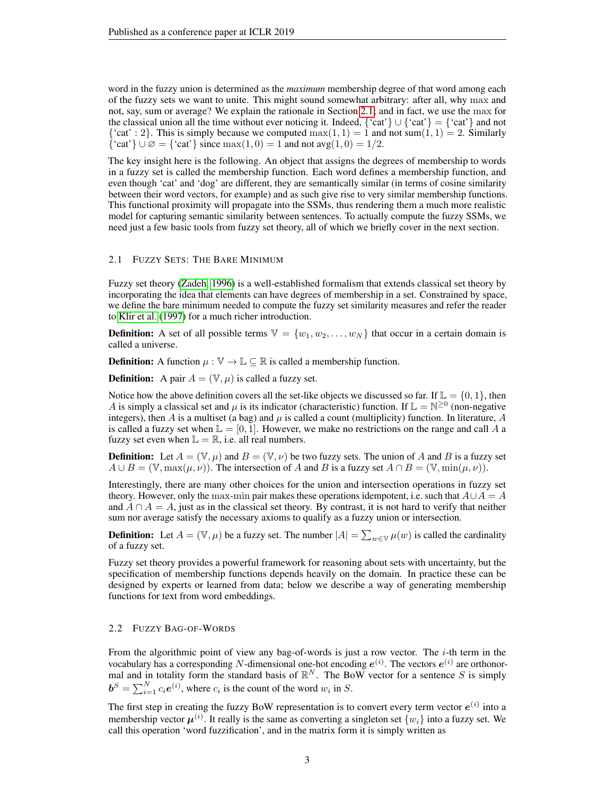word in the fuzzy union is determined as the *maximum* membership degree of that word among each of the fuzzy sets we want to unite. This might sound somewhat arbitrary: after all, why max and not, say, sum or average? We explain the rationale in Section [2.1;](#page-2-0) and in fact, we use the max for the classical union all the time without ever noticing it. Indeed,  $\{cat\} \cup \{cat\} = \{cat\}$  and not {'cat' : 2}. This is simply because we computed  $max(1, 1) = 1$  and not sum(1, 1) = 2. Similarly  $\{\text{'cat'}\}\cup\emptyset = \{\text{'cat'}\}\text{ since } \max(1,0) = 1 \text{ and not } \arg(1,0) = 1/2.$ 

The key insight here is the following. An object that assigns the degrees of membership to words in a fuzzy set is called the membership function. Each word defines a membership function, and even though 'cat' and 'dog' are different, they are semantically similar (in terms of cosine similarity between their word vectors, for example) and as such give rise to very similar membership functions. This functional proximity will propagate into the SSMs, thus rendering them a much more realistic model for capturing semantic similarity between sentences. To actually compute the fuzzy SSMs, we need just a few basic tools from fuzzy set theory, all of which we briefly cover in the next section.

#### <span id="page-2-0"></span>2.1 FUZZY SETS: THE BARE MINIMUM

Fuzzy set theory [\(Zadeh, 1996\)](#page-12-7) is a well-established formalism that extends classical set theory by incorporating the idea that elements can have degrees of membership in a set. Constrained by space, we define the bare minimum needed to compute the fuzzy set similarity measures and refer the reader to [Klir et al.](#page-10-7) [\(1997\)](#page-10-7) for a much richer introduction.

**Definition:** A set of all possible terms  $V = \{w_1, w_2, \ldots, w_N\}$  that occur in a certain domain is called a universe.

**Definition:** A function  $\mu : \mathbb{V} \to \mathbb{L} \subseteq \mathbb{R}$  is called a membership function.

**Definition:** A pair  $A = (\mathbb{V}, \mu)$  is called a fuzzy set.

Notice how the above definition covers all the set-like objects we discussed so far. If  $\mathbb{L} = \{0, 1\}$ , then A is simply a classical set and  $\mu$  is its indicator (characteristic) function. If  $\mathbb{L} = \mathbb{N}^{\geq 0}$  (non-negative integers), then A is a multiset (a bag) and  $\mu$  is called a count (multiplicity) function. In literature, A is called a fuzzy set when  $\mathbb{L} = [0, 1]$ . However, we make no restrictions on the range and call A a fuzzy set even when  $\mathbb{L} = \mathbb{R}$ , i.e. all real numbers.

**Definition:** Let  $A = (\mathbb{V}, \mu)$  and  $B = (\mathbb{V}, \nu)$  be two fuzzy sets. The union of A and B is a fuzzy set  $A \cup B = (\mathbb{V}, \max(\mu, \nu))$ . The intersection of A and B is a fuzzy set  $A \cap B = (\mathbb{V}, \min(\mu, \nu))$ .

Interestingly, there are many other choices for the union and intersection operations in fuzzy set theory. However, only the max-min pair makes these operations idempotent, i.e. such that  $A \cup A = A$ and  $A \cap A = A$ , just as in the classical set theory. By contrast, it is not hard to verify that neither sum nor average satisfy the necessary axioms to qualify as a fuzzy union or intersection.

**Definition:** Let  $A = (\mathbb{V}, \mu)$  be a fuzzy set. The number  $|A| = \sum_{w \in \mathbb{V}} \mu(w)$  is called the cardinality of a fuzzy set.

Fuzzy set theory provides a powerful framework for reasoning about sets with uncertainty, but the specification of membership functions depends heavily on the domain. In practice these can be designed by experts or learned from data; below we describe a way of generating membership functions for text from word embeddings.

#### <span id="page-2-1"></span>2.2 FUZZY BAG-OF-WORDS

From the algorithmic point of view any bag-of-words is just a row vector. The  $i$ -th term in the vocabulary has a corresponding N-dimensional one-hot encoding  $e^{(i)}$ . The vectors  $e^{(i)}$  are orthonormal and in totality form the standard basis of  $\mathbb{R}^N$ . The BoW vector for a sentence S is simply  $\boldsymbol{b}^S = \sum_{i=1}^N c_i \boldsymbol{e}^{(i)}$ , where  $c_i$  is the count of the word  $w_i$  in S.

The first step in creating the fuzzy BoW representation is to convert every term vector  $e^{(i)}$  into a membership vector  $\mu^{(i)}$ . It really is the same as converting a singleton set  $\{w_i\}$  into a fuzzy set. We call this operation 'word fuzzification', and in the matrix form it is simply written as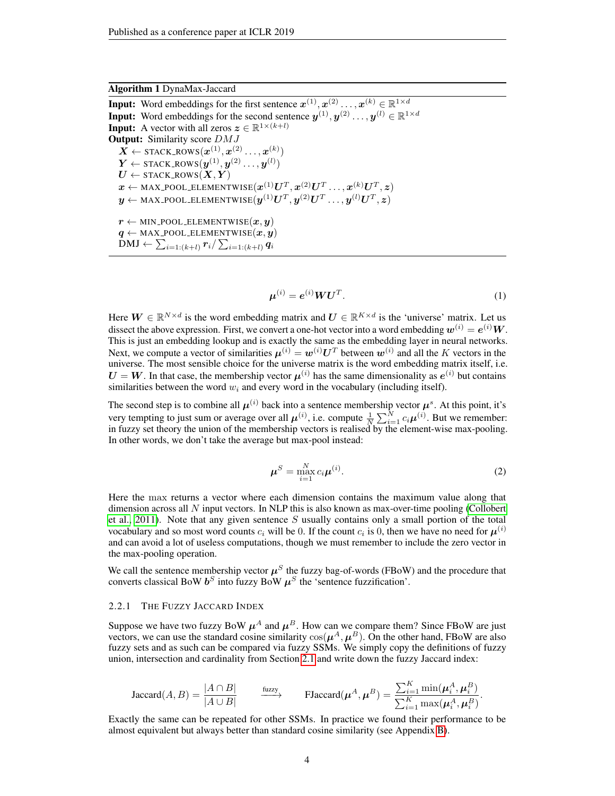# Algorithm 1 DynaMax-Jaccard

<span id="page-3-0"></span>**Input:** Word embeddings for the first sentence  $\mathbf{z}^{(1)}, \mathbf{z}^{(2)} \dots, \mathbf{z}^{(k)} \in \mathbb{R}^{1 \times d}$ **Input:** Word embeddings for the second sentence  $y^{(1)}, y^{(2)} \dots, y^{(l)} \in \mathbb{R}^{1 \times d}$ **Input:** A vector with all zeros  $z \in \mathbb{R}^{1 \times (k+l)}$ **Output:** Similarity score  $DMJ$  $\boldsymbol{X} \leftarrow \texttt{stack\_Rows}(\boldsymbol{x}^{(1)}, \boldsymbol{x}^{(2)} \dots, \boldsymbol{x}^{(k)})$  $\boldsymbol{Y} \leftarrow \texttt{STACK\_Rows}(\boldsymbol{y}^{(1)}, \boldsymbol{y}^{(2)} \dots, \boldsymbol{y}^{(l)})$  $\boldsymbol{U} \leftarrow \texttt{STACK\_Rows}(\boldsymbol{X}, \boldsymbol{Y})$  $\boldsymbol{x} \leftarrow \text{MAX\_POOL\_ELEMENTWISE}(\boldsymbol{x}^{(1)}\boldsymbol{U}^T,\boldsymbol{x}^{(2)}\boldsymbol{U}^T\ldots,\boldsymbol{x}^{(k)}\boldsymbol{U}^T,\boldsymbol{z})$  $\boldsymbol{y} \leftarrow \text{MAX\_POOL\_ELEMENTWISE}(\boldsymbol{y}^{(1)}\boldsymbol{U}^{T}, \boldsymbol{y}^{(2)}\boldsymbol{U}^{T} \ldots, \boldsymbol{y}^{(l)}\boldsymbol{U}^{T}, \boldsymbol{z})$  $r \leftarrow$  MIN\_POOL\_ELEMENTWISE $(x, y)$  $q \leftarrow$  MAX\_POOL\_ELEMENTWISE $(x, y)$  $\text{DMJ} \gets \sum_{i=1:(k+l)} r_i / \sum_{i=1:(k+l)} q_i$ 

<span id="page-3-1"></span>
$$
\boldsymbol{\mu}^{(i)} = \boldsymbol{e}^{(i)} \boldsymbol{W} \boldsymbol{U}^T. \tag{1}
$$

Here  $W \in \mathbb{R}^{N \times d}$  is the word embedding matrix and  $U \in \mathbb{R}^{K \times d}$  is the 'universe' matrix. Let us dissect the above expression. First, we convert a one-hot vector into a word embedding  $\bm{w}^{(i)} = \bm{e}^{(i)}\bm{W}$ . This is just an embedding lookup and is exactly the same as the embedding layer in neural networks. Next, we compute a vector of similarities  $\mu^{(i)} = w^{(i)} U^T$  between  $w^{(i)}$  and all the K vectors in the universe. The most sensible choice for the universe matrix is the word embedding matrix itself, i.e.  $U = W$ . In that case, the membership vector  $\mu^{(i)}$  has the same dimensionality as  $e^{(i)}$  but contains similarities between the word  $w_i$  and every word in the vocabulary (including itself).

The second step is to combine all  $\mu^{(i)}$  back into a sentence membership vector  $\mu^s$ . At this point, it's very tempting to just sum or average over all  $\mu^{(i)}$ , i.e. compute  $\frac{1}{N} \sum_{i=1}^{N} c_i \mu^{(i)}$ . But we remember: in fuzzy set theory the union of the membership vectors is realised by the element-wise max-pooling. In other words, we don't take the average but max-pool instead:

$$
\boldsymbol{\mu}^S = \max_{i=1}^N c_i \boldsymbol{\mu}^{(i)}.
$$
 (2)

Here the max returns a vector where each dimension contains the maximum value along that dimension across all  $N$  input vectors. In NLP this is also known as max-over-time pooling [\(Collobert](#page-9-5) [et al., 2011\)](#page-9-5). Note that any given sentence  $S$  usually contains only a small portion of the total vocabulary and so most word counts  $c_i$  will be 0. If the count  $c_i$  is 0, then we have no need for  $\boldsymbol{\mu}^{(i)}$ and can avoid a lot of useless computations, though we must remember to include the zero vector in the max-pooling operation.

We call the sentence membership vector  $\mu^S$  the fuzzy bag-of-words (FBoW) and the procedure that converts classical BoW  $b^S$  into fuzzy BoW  $\mu^S$  the 'sentence fuzzification'.

#### 2.2.1 THE FUZZY JACCARD INDEX

Suppose we have two fuzzy BoW  $\mu^A$  and  $\mu^B$ . How can we compare them? Since FBoW are just vectors, we can use the standard cosine similarity  $cos(\mu^A, \mu^B)$ . On the other hand, FBoW are also fuzzy sets and as such can be compared via fuzzy SSMs. We simply copy the definitions of fuzzy union, intersection and cardinality from Section [2.1](#page-2-0) and write down the fuzzy Jaccard index:

$$
\text{Jaccard}(A, B) = \frac{|A \cap B|}{|A \cup B|} \qquad \xrightarrow{\text{fuzzy}} \qquad \text{FJaccard}(\boldsymbol{\mu}^A, \boldsymbol{\mu}^B) = \frac{\sum_{i=1}^K \min(\boldsymbol{\mu}_i^A, \boldsymbol{\mu}_i^B)}{\sum_{i=1}^K \max(\boldsymbol{\mu}_i^A, \boldsymbol{\mu}_i^B)}.
$$

Exactly the same can be repeated for other SSMs. In practice we found their performance to be almost equivalent but always better than standard cosine similarity (see Appendix [B\)](#page-13-0).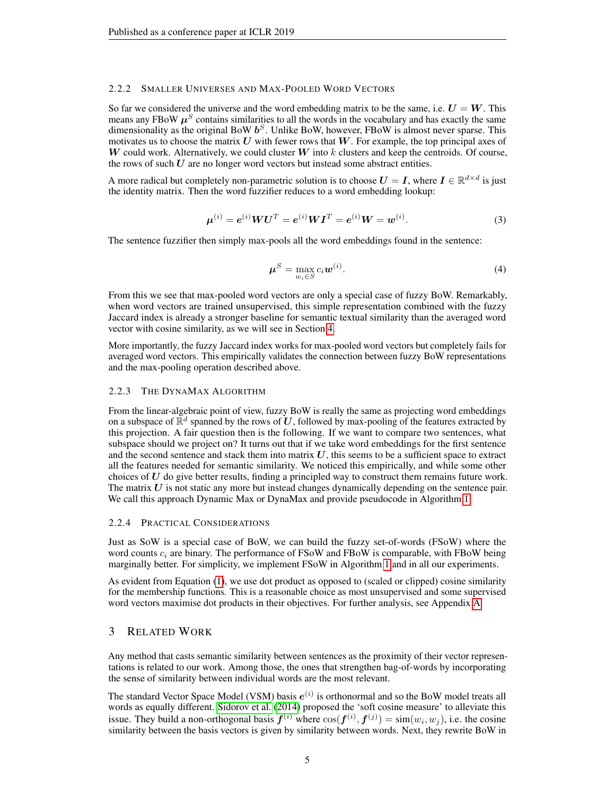#### 2.2.2 SMALLER UNIVERSES AND MAX-POOLED WORD VECTORS

So far we considered the universe and the word embedding matrix to be the same, i.e.  $U = W$ . This means any FBoW  $\mu<sup>S</sup>$  contains similarities to all the words in the vocabulary and has exactly the same dimensionality as the original BoW  $b^S$ . Unlike BoW, however, FBoW is almost never sparse. This motivates us to choose the matrix  $U$  with fewer rows that  $W$ . For example, the top principal axes of  $W$  could work. Alternatively, we could cluster  $W$  into  $k$  clusters and keep the centroids. Of course, the rows of such  $U$  are no longer word vectors but instead some abstract entities.

A more radical but completely non-parametric solution is to choose  $U = I$ , where  $I \in \mathbb{R}^{d \times d}$  is just the identity matrix. Then the word fuzzifier reduces to a word embedding lookup:

$$
\mu^{(i)} = e^{(i)} W U^T = e^{(i)} W I^T = e^{(i)} W = w^{(i)}.
$$
\n(3)

The sentence fuzzifier then simply max-pools all the word embeddings found in the sentence:

$$
\boldsymbol{\mu}^S = \max_{w_i \in S} c_i \boldsymbol{w}^{(i)}.
$$
\n(4)

From this we see that max-pooled word vectors are only a special case of fuzzy BoW. Remarkably, when word vectors are trained unsupervised, this simple representation combined with the fuzzy Jaccard index is already a stronger baseline for semantic textual similarity than the averaged word vector with cosine similarity, as we will see in Section [4.](#page-5-0)

More importantly, the fuzzy Jaccard index works for max-pooled word vectors but completely fails for averaged word vectors. This empirically validates the connection between fuzzy BoW representations and the max-pooling operation described above.

#### 2.2.3 THE DYNAMAX ALGORITHM

From the linear-algebraic point of view, fuzzy BoW is really the same as projecting word embeddings on a subspace of  $\mathbb{R}^d$  spanned by the rows of U, followed by max-pooling of the features extracted by this projection. A fair question then is the following. If we want to compare two sentences, what subspace should we project on? It turns out that if we take word embeddings for the first sentence and the second sentence and stack them into matrix  $U$ , this seems to be a sufficient space to extract all the features needed for semantic similarity. We noticed this empirically, and while some other choices of  $U$  do give better results, finding a principled way to construct them remains future work. The matrix  $U$  is not static any more but instead changes dynamically depending on the sentence pair. We call this approach Dynamic Max or DynaMax and provide pseudocode in Algorithm [1.](#page-3-0)

#### 2.2.4 PRACTICAL CONSIDERATIONS

Just as SoW is a special case of BoW, we can build the fuzzy set-of-words (FSoW) where the word counts  $c_i$  are binary. The performance of FSoW and FBoW is comparable, with FBoW being marginally better. For simplicity, we implement FSoW in Algorithm [1](#page-3-0) and in all our experiments.

As evident from Equation [\(1\)](#page-3-1), we use dot product as opposed to (scaled or clipped) cosine similarity for the membership functions. This is a reasonable choice as most unsupervised and some supervised word vectors maximise dot products in their objectives. For further analysis, see Appendix [A.](#page-13-1)

## <span id="page-4-0"></span>3 RELATED WORK

Any method that casts semantic similarity between sentences as the proximity of their vector representations is related to our work. Among those, the ones that strengthen bag-of-words by incorporating the sense of similarity between individual words are the most relevant.

The standard Vector Space Model (VSM) basis  $e^{(i)}$  is orthonormal and so the BoW model treats all words as equally different. [Sidorov et al.](#page-11-8) [\(2014\)](#page-11-8) proposed the 'soft cosine measure' to alleviate this issue. They build a non-orthogonal basis  $f^{(i)}$  where  $\cos(f^{(i)}, f^{(j)}) = \text{sim}(w_i, w_j)$ , i.e. the cosine similarity between the basis vectors is given by similarity between words. Next, they rewrite BoW in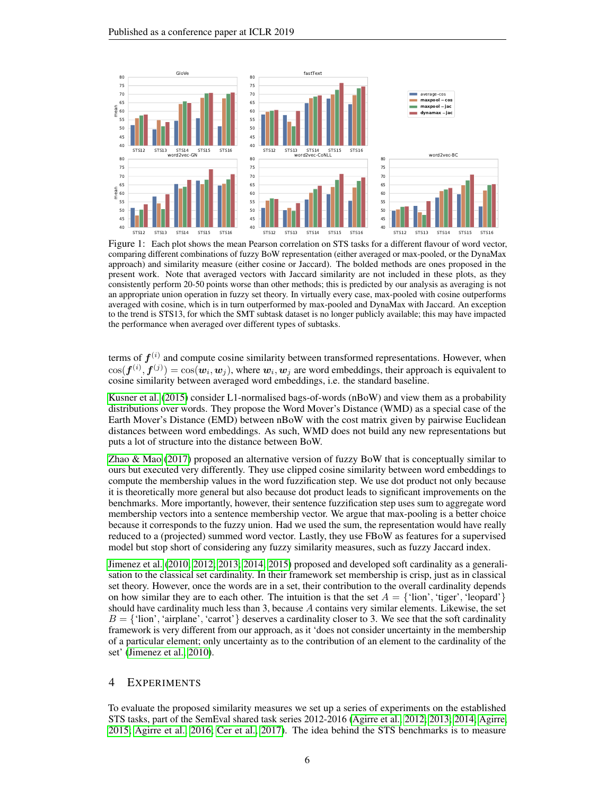

<span id="page-5-1"></span>Figure 1: Each plot shows the mean Pearson correlation on STS tasks for a different flavour of word vector, comparing different combinations of fuzzy BoW representation (either averaged or max-pooled, or the DynaMax approach) and similarity measure (either cosine or Jaccard). The bolded methods are ones proposed in the present work. Note that averaged vectors with Jaccard similarity are not included in these plots, as they consistently perform 20-50 points worse than other methods; this is predicted by our analysis as averaging is not an appropriate union operation in fuzzy set theory. In virtually every case, max-pooled with cosine outperforms averaged with cosine, which is in turn outperformed by max-pooled and DynaMax with Jaccard. An exception to the trend is STS13, for which the SMT subtask dataset is no longer publicly available; this may have impacted the performance when averaged over different types of subtasks.

terms of  $f^{(i)}$  and compute cosine similarity between transformed representations. However, when  $\cos(\bm{f}^{(i)},\bm{f}^{(j)})=\cos(\bm{w}_i,\bm{w}_j)$ , where  $\bm{w}_i,\bm{w}_j$  are word embeddings, their approach is equivalent to cosine similarity between averaged word embeddings, i.e. the standard baseline.

[Kusner et al.](#page-10-8) [\(2015\)](#page-10-8) consider L1-normalised bags-of-words (nBoW) and view them as a probability distributions over words. They propose the Word Mover's Distance (WMD) as a special case of the Earth Mover's Distance (EMD) between nBoW with the cost matrix given by pairwise Euclidean distances between word embeddings. As such, WMD does not build any new representations but puts a lot of structure into the distance between BoW.

[Zhao & Mao](#page-12-8) [\(2017\)](#page-12-8) proposed an alternative version of fuzzy BoW that is conceptually similar to ours but executed very differently. They use clipped cosine similarity between word embeddings to compute the membership values in the word fuzzification step. We use dot product not only because it is theoretically more general but also because dot product leads to significant improvements on the benchmarks. More importantly, however, their sentence fuzzification step uses sum to aggregate word membership vectors into a sentence membership vector. We argue that max-pooling is a better choice because it corresponds to the fuzzy union. Had we used the sum, the representation would have really reduced to a (projected) summed word vector. Lastly, they use FBoW as features for a supervised model but stop short of considering any fuzzy similarity measures, such as fuzzy Jaccard index.

[Jimenez et al.](#page-10-9) [\(2010;](#page-10-9) [2012;](#page-10-10) [2013;](#page-10-11) [2014;](#page-10-12) [2015\)](#page-10-13) proposed and developed soft cardinality as a generalisation to the classical set cardinality. In their framework set membership is crisp, just as in classical set theory. However, once the words are in a set, their contribution to the overall cardinality depends on how similar they are to each other. The intuition is that the set  $A = \{ 'lion', 'tiger', 'leopard' \}$ should have cardinality much less than 3, because  $A$  contains very similar elements. Likewise, the set  $B = \{\text{'lion'}, \text{'airplane'}, \text{'carrot'}\}$  deserves a cardinality closer to 3. We see that the soft cardinality framework is very different from our approach, as it 'does not consider uncertainty in the membership of a particular element; only uncertainty as to the contribution of an element to the cardinality of the set' [\(Jimenez et al., 2010\)](#page-10-9).

# <span id="page-5-0"></span>4 EXPERIMENTS

To evaluate the proposed similarity measures we set up a series of experiments on the established STS tasks, part of the SemEval shared task series 2012-2016 [\(Agirre et al., 2012;](#page-8-0) [2013;](#page-8-1) [2014;](#page-8-2) [Agirre,](#page-8-3) [2015;](#page-8-3) [Agirre et al., 2016;](#page-9-9) [Cer et al., 2017\)](#page-9-10). The idea behind the STS benchmarks is to measure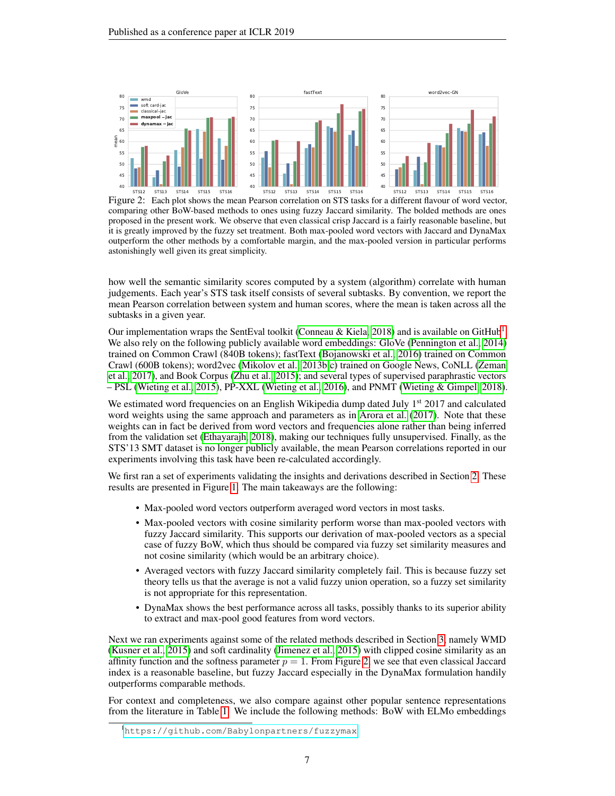

<span id="page-6-1"></span>Figure 2: Each plot shows the mean Pearson correlation on STS tasks for a different flavour of word vector, comparing other BoW-based methods to ones using fuzzy Jaccard similarity. The bolded methods are ones proposed in the present work. We observe that even classical crisp Jaccard is a fairly reasonable baseline, but it is greatly improved by the fuzzy set treatment. Both max-pooled word vectors with Jaccard and DynaMax outperform the other methods by a comfortable margin, and the max-pooled version in particular performs astonishingly well given its great simplicity.

how well the semantic similarity scores computed by a system (algorithm) correlate with human judgements. Each year's STS task itself consists of several subtasks. By convention, we report the mean Pearson correlation between system and human scores, where the mean is taken across all the subtasks in a given year.

Our implementation wraps the SentEval toolkit [\(Conneau & Kiela, 2018\)](#page-9-11) and is available on GitHub<sup>[1](#page-6-0)</sup>. We also rely on the following publicly available word embeddings: GloVe [\(Pennington et al., 2014\)](#page-11-6) trained on Common Crawl (840B tokens); fastText [\(Bojanowski et al., 2016\)](#page-9-4) trained on Common Crawl (600B tokens); word2vec [\(Mikolov et al., 2013b;](#page-11-9)[c\)](#page-11-10) trained on Google News, CoNLL [\(Zeman](#page-12-9) [et al., 2017\)](#page-12-9), and Book Corpus [\(Zhu et al., 2015\)](#page-12-10); and several types of supervised paraphrastic vectors – PSL [\(Wieting et al., 2015\)](#page-12-4), PP-XXL [\(Wieting et al., 2016\)](#page-12-5), and PNMT [\(Wieting & Gimpel, 2018\)](#page-12-6).

We estimated word frequencies on an English Wikipedia dump dated July 1<sup>st</sup> 2017 and calculated word weights using the same approach and parameters as in [Arora et al.](#page-9-3) [\(2017\)](#page-9-3). Note that these weights can in fact be derived from word vectors and frequencies alone rather than being inferred from the validation set [\(Ethayarajh, 2018\)](#page-9-12), making our techniques fully unsupervised. Finally, as the STS'13 SMT dataset is no longer publicly available, the mean Pearson correlations reported in our experiments involving this task have been re-calculated accordingly.

We first ran a set of experiments validating the insights and derivations described in Section [2.](#page-1-0) These results are presented in Figure [1.](#page-5-1) The main takeaways are the following:

- Max-pooled word vectors outperform averaged word vectors in most tasks.
- Max-pooled vectors with cosine similarity perform worse than max-pooled vectors with fuzzy Jaccard similarity. This supports our derivation of max-pooled vectors as a special case of fuzzy BoW, which thus should be compared via fuzzy set similarity measures and not cosine similarity (which would be an arbitrary choice).
- Averaged vectors with fuzzy Jaccard similarity completely fail. This is because fuzzy set theory tells us that the average is not a valid fuzzy union operation, so a fuzzy set similarity is not appropriate for this representation.
- DynaMax shows the best performance across all tasks, possibly thanks to its superior ability to extract and max-pool good features from word vectors.

Next we ran experiments against some of the related methods described in Section [3,](#page-4-0) namely WMD [\(Kusner et al., 2015\)](#page-10-8) and soft cardinality [\(Jimenez et al., 2015\)](#page-10-13) with clipped cosine similarity as an affinity function and the softness parameter  $p = 1$ . From Figure [2,](#page-6-1) we see that even classical Jaccard index is a reasonable baseline, but fuzzy Jaccard especially in the DynaMax formulation handily outperforms comparable methods.

For context and completeness, we also compare against other popular sentence representations from the literature in Table [1.](#page-7-0) We include the following methods: BoW with ELMo embeddings

<span id="page-6-0"></span><sup>1</sup><https://github.com/Babylonpartners/fuzzymax>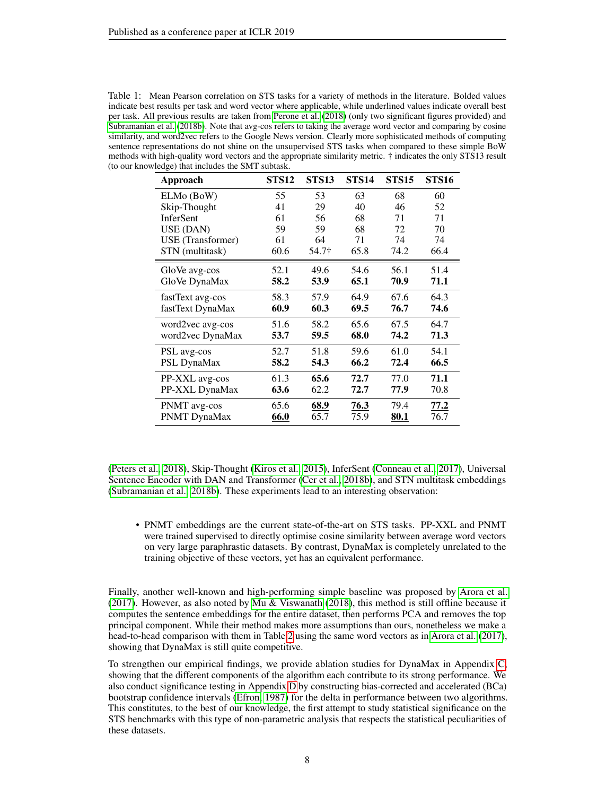<span id="page-7-0"></span>Table 1: Mean Pearson correlation on STS tasks for a variety of methods in the literature. Bolded values indicate best results per task and word vector where applicable, while underlined values indicate overall best per task. All previous results are taken from [Perone et al.](#page-11-11) [\(2018\)](#page-11-11) (only two significant figures provided) and [Subramanian et al.](#page-12-11) [\(2018b\)](#page-12-11). Note that avg-cos refers to taking the average word vector and comparing by cosine similarity, and word2vec refers to the Google News version. Clearly more sophisticated methods of computing sentence representations do not shine on the unsupervised STS tasks when compared to these simple BoW methods with high-quality word vectors and the appropriate similarity metric. † indicates the only STS13 result (to our knowledge) that includes the SMT subtask.

| Approach          | <b>STS12</b> | <b>STS13</b> | <b>STS14</b> | <b>STS15</b> | <b>STS16</b> |
|-------------------|--------------|--------------|--------------|--------------|--------------|
| ELMo (BoW)        | 55           | 53           | 63           | 68           | 60           |
| Skip-Thought      | 41           | 29           | 40           | 46           | 52           |
| <b>InferSent</b>  | 61           | 56           | 68           | 71           | 71           |
| USE (DAN)         | 59           | 59           | 68           | 72           | 70           |
| USE (Transformer) | 61           | 64           | 71           | 74           | 74           |
| STN (multitask)   | 60.6         | 54.7†        | 65.8         | 74.2         | 66.4         |
| GloVe avg-cos     | 52.1         | 49.6         | 54.6         | 56.1         | 51.4         |
| GloVe DynaMax     | 58.2         | 53.9         | 65.1         | 70.9         | 71.1         |
| fastText avg-cos  | 58.3         | 57.9         | 64.9         | 67.6         | 64.3         |
| fastText DynaMax  | 60.9         | 60.3         | 69.5         | 76.7         | 74.6         |
| word2vec avg-cos  | 51.6         | 58.2         | 65.6         | 67.5         | 64.7         |
| word2vec DynaMax  | 53.7         | 59.5         | 68.0         | 74.2         | 71.3         |
| PSL avg-cos       | 52.7         | 51.8         | 59.6         | 61.0         | 54.1         |
| PSL DynaMax       | 58.2         | 54.3         | 66.2         | 72.4         | 66.5         |
| PP-XXL avg-cos    | 61.3         | 65.6         | 72.7         | 77.0         | 71.1         |
| PP-XXL DynaMax    | 63.6         | 62.2         | 72.7         | 77.9         | 70.8         |
| PNMT avg-cos      | 65.6         | 68.9         | 76.3         | 79.4         | 77.2         |
| PNMT DynaMax      | 66.0         | 65.7         | 75.9         | 80.1         | 76.7         |

[\(Peters et al., 2018\)](#page-11-12), Skip-Thought [\(Kiros et al., 2015\)](#page-10-2), InferSent [\(Conneau et al., 2017\)](#page-9-0), Universal Sentence Encoder with DAN and Transformer [\(Cer et al., 2018b\)](#page-9-13), and STN multitask embeddings [\(Subramanian et al., 2018b\)](#page-12-11). These experiments lead to an interesting observation:

• PNMT embeddings are the current state-of-the-art on STS tasks. PP-XXL and PNMT were trained supervised to directly optimise cosine similarity between average word vectors on very large paraphrastic datasets. By contrast, DynaMax is completely unrelated to the training objective of these vectors, yet has an equivalent performance.

Finally, another well-known and high-performing simple baseline was proposed by [Arora et al.](#page-9-3) [\(2017\)](#page-9-3). However, as also noted by [Mu & Viswanath](#page-11-13) [\(2018\)](#page-11-13), this method is still offline because it computes the sentence embeddings for the entire dataset, then performs PCA and removes the top principal component. While their method makes more assumptions than ours, nonetheless we make a head-to-head comparison with them in Table [2](#page-8-4) using the same word vectors as in [Arora et al.](#page-9-3) [\(2017\)](#page-9-3), showing that DynaMax is still quite competitive.

To strengthen our empirical findings, we provide ablation studies for DynaMax in Appendix [C,](#page-14-0) showing that the different components of the algorithm each contribute to its strong performance. We also conduct significance testing in Appendix [D](#page-14-1) by constructing bias-corrected and accelerated (BCa) bootstrap confidence intervals [\(Efron, 1987\)](#page-9-8) for the delta in performance between two algorithms. This constitutes, to the best of our knowledge, the first attempt to study statistical significance on the STS benchmarks with this type of non-parametric analysis that respects the statistical peculiarities of these datasets.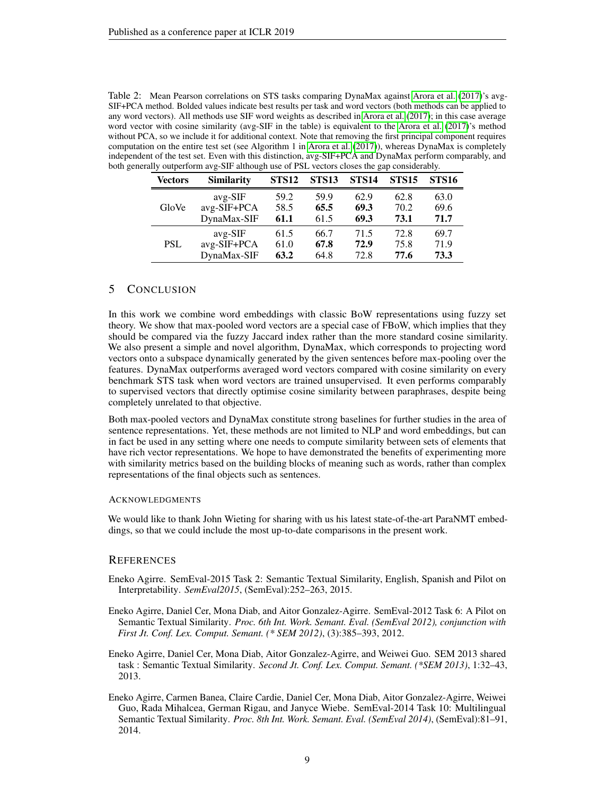<span id="page-8-4"></span>

| Table 2: Mean Pearson correlations on STS tasks comparing DynaMax against Arora et al. (2017)'s avg-            |
|-----------------------------------------------------------------------------------------------------------------|
| SIF+PCA method. Bolded values indicate best results per task and word vectors (both methods can be applied to   |
| any word vectors). All methods use SIF word weights as described in Arora et al. (2017); in this case average   |
| word vector with cosine similarity (avg-SIF in the table) is equivalent to the Arora et al. (2017)'s method     |
| without PCA, so we include it for additional context. Note that removing the first principal component requires |
| computation on the entire test set (see Algorithm 1 in Arora et al. $(2017)$ ), whereas DynaMax is completely   |
| independent of the test set. Even with this distinction, avg-SIF+PCA and DynaMax perform comparably, and        |
| both generally outperform avg-SIF although use of PSL vectors closes the gap considerably.                      |

| <b>Vectors</b> | <b>Similarity</b> | <b>STS12</b> | <b>STS13</b> | STS <sub>14</sub> | <b>STS15</b> | <b>STS16</b> |
|----------------|-------------------|--------------|--------------|-------------------|--------------|--------------|
|                | $avg-SIF$         | 59.2         | 59.9         | 62.9              | 62.8         | 63.0         |
| GloVe          | avg-SIF+PCA       | 58.5         | 65.5         | 69.3              | 70.2         | 69.6         |
|                | DynaMax-SIF       | 61.1         | 61.5         | 69.3              | 73.1         | 71.7         |
|                | $avg-SIF$         | 61.5         | 66.7         | 71.5              | 72.8         | 69.7         |
| <b>PSL</b>     | avg-SIF+PCA       | 61.0         | 67.8         | 72.9              | 75.8         | 71.9         |
|                | DynaMax-SIF       | 63.2         | 64.8         | 72.8              | 77.6         | 73.3         |

# 5 CONCLUSION

In this work we combine word embeddings with classic BoW representations using fuzzy set theory. We show that max-pooled word vectors are a special case of FBoW, which implies that they should be compared via the fuzzy Jaccard index rather than the more standard cosine similarity. We also present a simple and novel algorithm, DynaMax, which corresponds to projecting word vectors onto a subspace dynamically generated by the given sentences before max-pooling over the features. DynaMax outperforms averaged word vectors compared with cosine similarity on every benchmark STS task when word vectors are trained unsupervised. It even performs comparably to supervised vectors that directly optimise cosine similarity between paraphrases, despite being completely unrelated to that objective.

Both max-pooled vectors and DynaMax constitute strong baselines for further studies in the area of sentence representations. Yet, these methods are not limited to NLP and word embeddings, but can in fact be used in any setting where one needs to compute similarity between sets of elements that have rich vector representations. We hope to have demonstrated the benefits of experimenting more with similarity metrics based on the building blocks of meaning such as words, rather than complex representations of the final objects such as sentences.

#### **ACKNOWLEDGMENTS**

We would like to thank John Wieting for sharing with us his latest state-of-the-art ParaNMT embeddings, so that we could include the most up-to-date comparisons in the present work.

#### **REFERENCES**

- <span id="page-8-3"></span>Eneko Agirre. SemEval-2015 Task 2: Semantic Textual Similarity, English, Spanish and Pilot on Interpretability. *SemEval2015*, (SemEval):252–263, 2015.
- <span id="page-8-0"></span>Eneko Agirre, Daniel Cer, Mona Diab, and Aitor Gonzalez-Agirre. SemEval-2012 Task 6: A Pilot on Semantic Textual Similarity. *Proc. 6th Int. Work. Semant. Eval. (SemEval 2012), conjunction with First Jt. Conf. Lex. Comput. Semant. (\* SEM 2012)*, (3):385–393, 2012.
- <span id="page-8-1"></span>Eneko Agirre, Daniel Cer, Mona Diab, Aitor Gonzalez-Agirre, and Weiwei Guo. SEM 2013 shared task : Semantic Textual Similarity. *Second Jt. Conf. Lex. Comput. Semant. (\*SEM 2013)*, 1:32–43, 2013.
- <span id="page-8-2"></span>Eneko Agirre, Carmen Banea, Claire Cardie, Daniel Cer, Mona Diab, Aitor Gonzalez-Agirre, Weiwei Guo, Rada Mihalcea, German Rigau, and Janyce Wiebe. SemEval-2014 Task 10: Multilingual Semantic Textual Similarity. *Proc. 8th Int. Work. Semant. Eval. (SemEval 2014)*, (SemEval):81–91, 2014.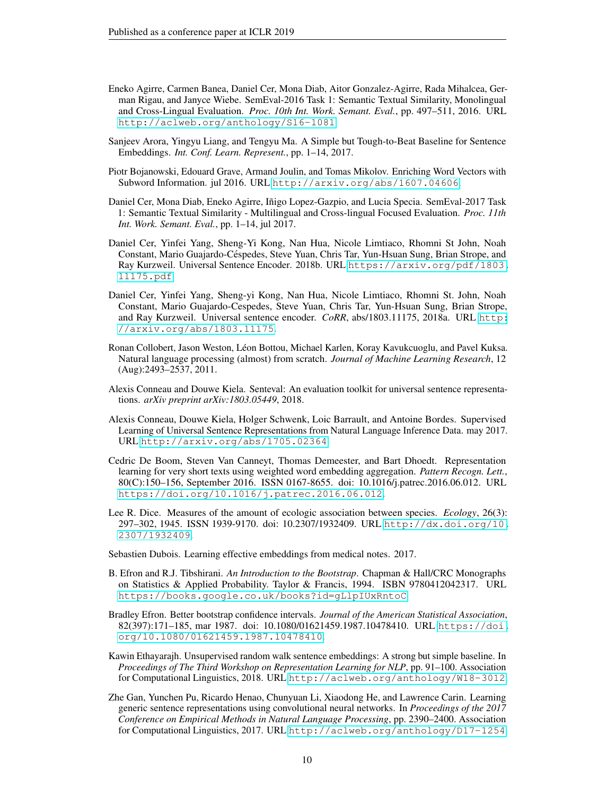- <span id="page-9-9"></span>Eneko Agirre, Carmen Banea, Daniel Cer, Mona Diab, Aitor Gonzalez-Agirre, Rada Mihalcea, German Rigau, and Janyce Wiebe. SemEval-2016 Task 1: Semantic Textual Similarity, Monolingual and Cross-Lingual Evaluation. *Proc. 10th Int. Work. Semant. Eval.*, pp. 497–511, 2016. URL <http://aclweb.org/anthology/S16-1081>.
- <span id="page-9-3"></span>Sanjeev Arora, Yingyu Liang, and Tengyu Ma. A Simple but Tough-to-Beat Baseline for Sentence Embeddings. *Int. Conf. Learn. Represent.*, pp. 1–14, 2017.
- <span id="page-9-4"></span>Piotr Bojanowski, Edouard Grave, Armand Joulin, and Tomas Mikolov. Enriching Word Vectors with Subword Information. jul 2016. URL <http://arxiv.org/abs/1607.04606>.
- <span id="page-9-10"></span>Daniel Cer, Mona Diab, Eneko Agirre, Inigo Lopez-Gazpio, and Lucia Specia. SemEval-2017 Task ˜ 1: Semantic Textual Similarity - Multilingual and Cross-lingual Focused Evaluation. *Proc. 11th Int. Work. Semant. Eval.*, pp. 1–14, jul 2017.
- <span id="page-9-13"></span>Daniel Cer, Yinfei Yang, Sheng-Yi Kong, Nan Hua, Nicole Limtiaco, Rhomni St John, Noah Constant, Mario Guajardo-Cespedes, Steve Yuan, Chris Tar, Yun-Hsuan Sung, Brian Strope, and ´ Ray Kurzweil. Universal Sentence Encoder. 2018b. URL [https://arxiv.org/pdf/1803.](https://arxiv.org/pdf/1803.11175.pdf) [11175.pdf](https://arxiv.org/pdf/1803.11175.pdf).
- <span id="page-9-1"></span>Daniel Cer, Yinfei Yang, Sheng-yi Kong, Nan Hua, Nicole Limtiaco, Rhomni St. John, Noah Constant, Mario Guajardo-Cespedes, Steve Yuan, Chris Tar, Yun-Hsuan Sung, Brian Strope, and Ray Kurzweil. Universal sentence encoder. *CoRR*, abs/1803.11175, 2018a. URL [http:](http://arxiv.org/abs/1803.11175) [//arxiv.org/abs/1803.11175](http://arxiv.org/abs/1803.11175).
- <span id="page-9-5"></span>Ronan Collobert, Jason Weston, Léon Bottou, Michael Karlen, Koray Kavukcuoglu, and Pavel Kuksa. Natural language processing (almost) from scratch. *Journal of Machine Learning Research*, 12 (Aug):2493–2537, 2011.
- <span id="page-9-11"></span>Alexis Conneau and Douwe Kiela. Senteval: An evaluation toolkit for universal sentence representations. *arXiv preprint arXiv:1803.05449*, 2018.
- <span id="page-9-0"></span>Alexis Conneau, Douwe Kiela, Holger Schwenk, Loic Barrault, and Antoine Bordes. Supervised Learning of Universal Sentence Representations from Natural Language Inference Data. may 2017. URL <http://arxiv.org/abs/1705.02364>.
- <span id="page-9-6"></span>Cedric De Boom, Steven Van Canneyt, Thomas Demeester, and Bart Dhoedt. Representation learning for very short texts using weighted word embedding aggregation. *Pattern Recogn. Lett.*, 80(C):150–156, September 2016. ISSN 0167-8655. doi: 10.1016/j.patrec.2016.06.012. URL <https://doi.org/10.1016/j.patrec.2016.06.012>.
- <span id="page-9-14"></span>Lee R. Dice. Measures of the amount of ecologic association between species. *Ecology*, 26(3): 297–302, 1945. ISSN 1939-9170. doi: 10.2307/1932409. URL [http://dx.doi.org/10.](http://dx.doi.org/10.2307/1932409) [2307/1932409](http://dx.doi.org/10.2307/1932409).
- <span id="page-9-7"></span>Sebastien Dubois. Learning effective embeddings from medical notes. 2017.
- <span id="page-9-15"></span>B. Efron and R.J. Tibshirani. *An Introduction to the Bootstrap*. Chapman & Hall/CRC Monographs on Statistics & Applied Probability. Taylor & Francis, 1994. ISBN 9780412042317. URL <https://books.google.co.uk/books?id=gLlpIUxRntoC>.
- <span id="page-9-8"></span>Bradley Efron. Better bootstrap confidence intervals. *Journal of the American Statistical Association*, 82(397):171–185, mar 1987. doi: 10.1080/01621459.1987.10478410. URL [https://doi.](https://doi.org/10.1080/01621459.1987.10478410) [org/10.1080/01621459.1987.10478410](https://doi.org/10.1080/01621459.1987.10478410).
- <span id="page-9-12"></span>Kawin Ethayarajh. Unsupervised random walk sentence embeddings: A strong but simple baseline. In *Proceedings of The Third Workshop on Representation Learning for NLP*, pp. 91–100. Association for Computational Linguistics, 2018. URL <http://aclweb.org/anthology/W18-3012>.
- <span id="page-9-2"></span>Zhe Gan, Yunchen Pu, Ricardo Henao, Chunyuan Li, Xiaodong He, and Lawrence Carin. Learning generic sentence representations using convolutional neural networks. In *Proceedings of the 2017 Conference on Empirical Methods in Natural Language Processing*, pp. 2390–2400. Association for Computational Linguistics, 2017. URL <http://aclweb.org/anthology/D17-1254>.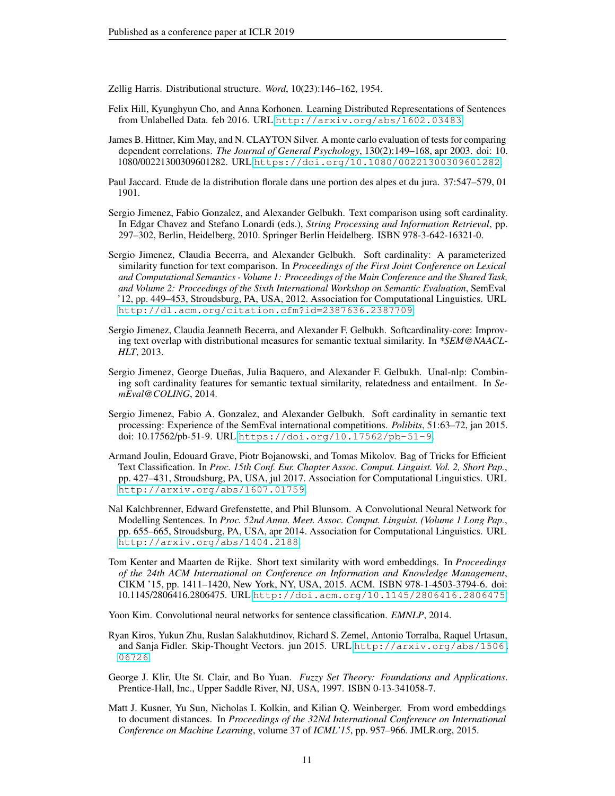<span id="page-10-0"></span>Zellig Harris. Distributional structure. *Word*, 10(23):146–162, 1954.

- <span id="page-10-1"></span>Felix Hill, Kyunghyun Cho, and Anna Korhonen. Learning Distributed Representations of Sentences from Unlabelled Data. feb 2016. URL <http://arxiv.org/abs/1602.03483>.
- <span id="page-10-15"></span>James B. Hittner, Kim May, and N. CLAYTON Silver. A monte carlo evaluation of tests for comparing dependent correlations. *The Journal of General Psychology*, 130(2):149–168, apr 2003. doi: 10. 1080/00221300309601282. URL <https://doi.org/10.1080/00221300309601282>.
- <span id="page-10-14"></span>Paul Jaccard. Etude de la distribution florale dans une portion des alpes et du jura. 37:547–579, 01 1901.

<span id="page-10-9"></span>Sergio Jimenez, Fabio Gonzalez, and Alexander Gelbukh. Text comparison using soft cardinality. In Edgar Chavez and Stefano Lonardi (eds.), *String Processing and Information Retrieval*, pp. 297–302, Berlin, Heidelberg, 2010. Springer Berlin Heidelberg. ISBN 978-3-642-16321-0.

- <span id="page-10-10"></span>Sergio Jimenez, Claudia Becerra, and Alexander Gelbukh. Soft cardinality: A parameterized similarity function for text comparison. In *Proceedings of the First Joint Conference on Lexical and Computational Semantics - Volume 1: Proceedings of the Main Conference and the Shared Task, and Volume 2: Proceedings of the Sixth International Workshop on Semantic Evaluation*, SemEval '12, pp. 449–453, Stroudsburg, PA, USA, 2012. Association for Computational Linguistics. URL <http://dl.acm.org/citation.cfm?id=2387636.2387709>.
- <span id="page-10-11"></span>Sergio Jimenez, Claudia Jeanneth Becerra, and Alexander F. Gelbukh. Softcardinality-core: Improving text overlap with distributional measures for semantic textual similarity. In *\*SEM@NAACL-HLT*, 2013.
- <span id="page-10-12"></span>Sergio Jimenez, George Dueñas, Julia Baquero, and Alexander F. Gelbukh. Unal-nlp: Combining soft cardinality features for semantic textual similarity, relatedness and entailment. In *SemEval@COLING*, 2014.
- <span id="page-10-13"></span>Sergio Jimenez, Fabio A. Gonzalez, and Alexander Gelbukh. Soft cardinality in semantic text processing: Experience of the SemEval international competitions. *Polibits*, 51:63–72, jan 2015. doi: 10.17562/pb-51-9. URL <https://doi.org/10.17562/pb-51-9>.
- <span id="page-10-5"></span>Armand Joulin, Edouard Grave, Piotr Bojanowski, and Tomas Mikolov. Bag of Tricks for Efficient Text Classification. In *Proc. 15th Conf. Eur. Chapter Assoc. Comput. Linguist. Vol. 2, Short Pap.*, pp. 427–431, Stroudsburg, PA, USA, jul 2017. Association for Computational Linguistics. URL <http://arxiv.org/abs/1607.01759>.
- <span id="page-10-3"></span>Nal Kalchbrenner, Edward Grefenstette, and Phil Blunsom. A Convolutional Neural Network for Modelling Sentences. In *Proc. 52nd Annu. Meet. Assoc. Comput. Linguist. (Volume 1 Long Pap.*, pp. 655–665, Stroudsburg, PA, USA, apr 2014. Association for Computational Linguistics. URL <http://arxiv.org/abs/1404.2188>.
- <span id="page-10-6"></span>Tom Kenter and Maarten de Rijke. Short text similarity with word embeddings. In *Proceedings of the 24th ACM International on Conference on Information and Knowledge Management*, CIKM '15, pp. 1411–1420, New York, NY, USA, 2015. ACM. ISBN 978-1-4503-3794-6. doi: 10.1145/2806416.2806475. URL <http://doi.acm.org/10.1145/2806416.2806475>.

<span id="page-10-4"></span>Yoon Kim. Convolutional neural networks for sentence classification. *EMNLP*, 2014.

- <span id="page-10-2"></span>Ryan Kiros, Yukun Zhu, Ruslan Salakhutdinov, Richard S. Zemel, Antonio Torralba, Raquel Urtasun, and Sanja Fidler. Skip-Thought Vectors. jun 2015. URL [http://arxiv.org/abs/1506.](http://arxiv.org/abs/1506.06726) [06726](http://arxiv.org/abs/1506.06726).
- <span id="page-10-7"></span>George J. Klir, Ute St. Clair, and Bo Yuan. *Fuzzy Set Theory: Foundations and Applications*. Prentice-Hall, Inc., Upper Saddle River, NJ, USA, 1997. ISBN 0-13-341058-7.
- <span id="page-10-8"></span>Matt J. Kusner, Yu Sun, Nicholas I. Kolkin, and Kilian Q. Weinberger. From word embeddings to document distances. In *Proceedings of the 32Nd International Conference on International Conference on Machine Learning*, volume 37 of *ICML'15*, pp. 957–966. JMLR.org, 2015.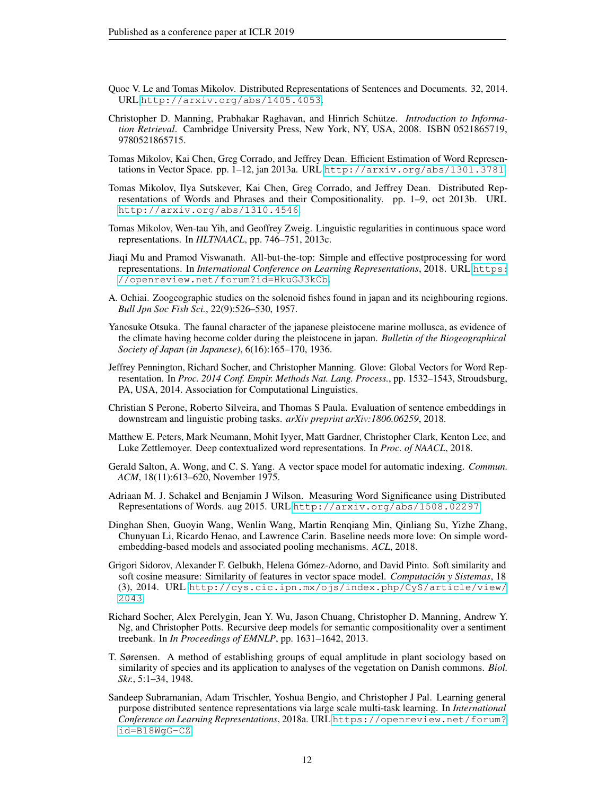- <span id="page-11-2"></span>Quoc V. Le and Tomas Mikolov. Distributed Representations of Sentences and Documents. 32, 2014. URL <http://arxiv.org/abs/1405.4053>.
- <span id="page-11-1"></span>Christopher D. Manning, Prabhakar Raghavan, and Hinrich Schütze. *Introduction to Information Retrieval*. Cambridge University Press, New York, NY, USA, 2008. ISBN 0521865719, 9780521865715.
- <span id="page-11-5"></span>Tomas Mikolov, Kai Chen, Greg Corrado, and Jeffrey Dean. Efficient Estimation of Word Representations in Vector Space. pp. 1–12, jan 2013a. URL <http://arxiv.org/abs/1301.3781>.
- <span id="page-11-9"></span>Tomas Mikolov, Ilya Sutskever, Kai Chen, Greg Corrado, and Jeffrey Dean. Distributed Representations of Words and Phrases and their Compositionality. pp. 1–9, oct 2013b. URL <http://arxiv.org/abs/1310.4546>.
- <span id="page-11-10"></span>Tomas Mikolov, Wen-tau Yih, and Geoffrey Zweig. Linguistic regularities in continuous space word representations. In *HLTNAACL*, pp. 746–751, 2013c.
- <span id="page-11-13"></span>Jiaqi Mu and Pramod Viswanath. All-but-the-top: Simple and effective postprocessing for word representations. In *International Conference on Learning Representations*, 2018. URL [https:](https://openreview.net/forum?id=HkuGJ3kCb) [//openreview.net/forum?id=HkuGJ3kCb](https://openreview.net/forum?id=HkuGJ3kCb).
- <span id="page-11-16"></span>A. Ochiai. Zoogeographic studies on the solenoid fishes found in japan and its neighbouring regions. *Bull Jpn Soc Fish Sci.*, 22(9):526–530, 1957.
- <span id="page-11-15"></span>Yanosuke Otsuka. The faunal character of the japanese pleistocene marine mollusca, as evidence of the climate having become colder during the pleistocene in japan. *Bulletin of the Biogeographical Society of Japan (in Japanese)*, 6(16):165–170, 1936.
- <span id="page-11-6"></span>Jeffrey Pennington, Richard Socher, and Christopher Manning. Glove: Global Vectors for Word Representation. In *Proc. 2014 Conf. Empir. Methods Nat. Lang. Process.*, pp. 1532–1543, Stroudsburg, PA, USA, 2014. Association for Computational Linguistics.
- <span id="page-11-11"></span>Christian S Perone, Roberto Silveira, and Thomas S Paula. Evaluation of sentence embeddings in downstream and linguistic probing tasks. *arXiv preprint arXiv:1806.06259*, 2018.
- <span id="page-11-12"></span>Matthew E. Peters, Mark Neumann, Mohit Iyyer, Matt Gardner, Christopher Clark, Kenton Lee, and Luke Zettlemoyer. Deep contextualized word representations. In *Proc. of NAACL*, 2018.
- <span id="page-11-0"></span>Gerald Salton, A. Wong, and C. S. Yang. A vector space model for automatic indexing. *Commun. ACM*, 18(11):613–620, November 1975.
- <span id="page-11-14"></span>Adriaan M. J. Schakel and Benjamin J Wilson. Measuring Word Significance using Distributed Representations of Words. aug 2015. URL <http://arxiv.org/abs/1508.02297>.
- <span id="page-11-7"></span>Dinghan Shen, Guoyin Wang, Wenlin Wang, Martin Renqiang Min, Qinliang Su, Yizhe Zhang, Chunyuan Li, Ricardo Henao, and Lawrence Carin. Baseline needs more love: On simple wordembedding-based models and associated pooling mechanisms. *ACL*, 2018.
- <span id="page-11-8"></span>Grigori Sidorov, Alexander F. Gelbukh, Helena Gómez-Adorno, and David Pinto. Soft similarity and soft cosine measure: Similarity of features in vector space model. *Computacion y Sistemas ´* , 18 (3), 2014. URL [http://cys.cic.ipn.mx/ojs/index.php/CyS/article/view/](http://cys.cic.ipn.mx/ojs/index.php/CyS/article/view/2043) [2043](http://cys.cic.ipn.mx/ojs/index.php/CyS/article/view/2043).
- <span id="page-11-4"></span>Richard Socher, Alex Perelygin, Jean Y. Wu, Jason Chuang, Christopher D. Manning, Andrew Y. Ng, and Christopher Potts. Recursive deep models for semantic compositionality over a sentiment treebank. In *In Proceedings of EMNLP*, pp. 1631–1642, 2013.
- <span id="page-11-17"></span>T. Sørensen. A method of establishing groups of equal amplitude in plant sociology based on similarity of species and its application to analyses of the vegetation on Danish commons. *Biol. Skr.*, 5:1–34, 1948.
- <span id="page-11-3"></span>Sandeep Subramanian, Adam Trischler, Yoshua Bengio, and Christopher J Pal. Learning general purpose distributed sentence representations via large scale multi-task learning. In *International Conference on Learning Representations*, 2018a. URL [https://openreview.net/forum?](https://openreview.net/forum?id=B18WgG-CZ) [id=B18WgG-CZ](https://openreview.net/forum?id=B18WgG-CZ).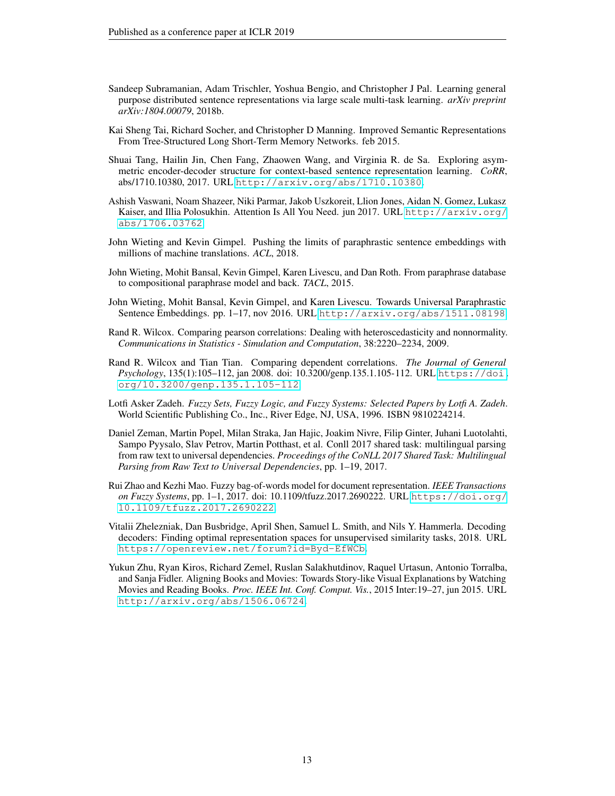- <span id="page-12-11"></span>Sandeep Subramanian, Adam Trischler, Yoshua Bengio, and Christopher J Pal. Learning general purpose distributed sentence representations via large scale multi-task learning. *arXiv preprint arXiv:1804.00079*, 2018b.
- <span id="page-12-0"></span>Kai Sheng Tai, Richard Socher, and Christopher D Manning. Improved Semantic Representations From Tree-Structured Long Short-Term Memory Networks. feb 2015.
- <span id="page-12-2"></span>Shuai Tang, Hailin Jin, Chen Fang, Zhaowen Wang, and Virginia R. de Sa. Exploring asymmetric encoder-decoder structure for context-based sentence representation learning. *CoRR*, abs/1710.10380, 2017. URL <http://arxiv.org/abs/1710.10380>.
- <span id="page-12-1"></span>Ashish Vaswani, Noam Shazeer, Niki Parmar, Jakob Uszkoreit, Llion Jones, Aidan N. Gomez, Lukasz Kaiser, and Illia Polosukhin. Attention Is All You Need. jun 2017. URL [http://arxiv.org/](http://arxiv.org/abs/1706.03762) [abs/1706.03762](http://arxiv.org/abs/1706.03762).
- <span id="page-12-6"></span>John Wieting and Kevin Gimpel. Pushing the limits of paraphrastic sentence embeddings with millions of machine translations. *ACL*, 2018.
- <span id="page-12-4"></span>John Wieting, Mohit Bansal, Kevin Gimpel, Karen Livescu, and Dan Roth. From paraphrase database to compositional paraphrase model and back. *TACL*, 2015.
- <span id="page-12-5"></span>John Wieting, Mohit Bansal, Kevin Gimpel, and Karen Livescu. Towards Universal Paraphrastic Sentence Embeddings. pp. 1–17, nov 2016. URL <http://arxiv.org/abs/1511.08198>.
- <span id="page-12-13"></span>Rand R. Wilcox. Comparing pearson correlations: Dealing with heteroscedasticity and nonnormality. *Communications in Statistics - Simulation and Computation*, 38:2220–2234, 2009.
- <span id="page-12-12"></span>Rand R. Wilcox and Tian Tian. Comparing dependent correlations. *The Journal of General Psychology*, 135(1):105–112, jan 2008. doi: 10.3200/genp.135.1.105-112. URL [https://doi.](https://doi.org/10.3200/genp.135.1.105-112) [org/10.3200/genp.135.1.105-112](https://doi.org/10.3200/genp.135.1.105-112).
- <span id="page-12-7"></span>Lotfi Asker Zadeh. *Fuzzy Sets, Fuzzy Logic, and Fuzzy Systems: Selected Papers by Lotfi A. Zadeh*. World Scientific Publishing Co., Inc., River Edge, NJ, USA, 1996. ISBN 9810224214.
- <span id="page-12-9"></span>Daniel Zeman, Martin Popel, Milan Straka, Jan Hajic, Joakim Nivre, Filip Ginter, Juhani Luotolahti, Sampo Pyysalo, Slav Petrov, Martin Potthast, et al. Conll 2017 shared task: multilingual parsing from raw text to universal dependencies. *Proceedings of the CoNLL 2017 Shared Task: Multilingual Parsing from Raw Text to Universal Dependencies*, pp. 1–19, 2017.
- <span id="page-12-8"></span>Rui Zhao and Kezhi Mao. Fuzzy bag-of-words model for document representation. *IEEE Transactions on Fuzzy Systems*, pp. 1–1, 2017. doi: 10.1109/tfuzz.2017.2690222. URL [https://doi.org/](https://doi.org/10.1109/tfuzz.2017.2690222) [10.1109/tfuzz.2017.2690222](https://doi.org/10.1109/tfuzz.2017.2690222).
- <span id="page-12-3"></span>Vitalii Zhelezniak, Dan Busbridge, April Shen, Samuel L. Smith, and Nils Y. Hammerla. Decoding decoders: Finding optimal representation spaces for unsupervised similarity tasks, 2018. URL <https://openreview.net/forum?id=Byd-EfWCb>.
- <span id="page-12-10"></span>Yukun Zhu, Ryan Kiros, Richard Zemel, Ruslan Salakhutdinov, Raquel Urtasun, Antonio Torralba, and Sanja Fidler. Aligning Books and Movies: Towards Story-like Visual Explanations by Watching Movies and Reading Books. *Proc. IEEE Int. Conf. Comput. Vis.*, 2015 Inter:19–27, jun 2015. URL <http://arxiv.org/abs/1506.06724>.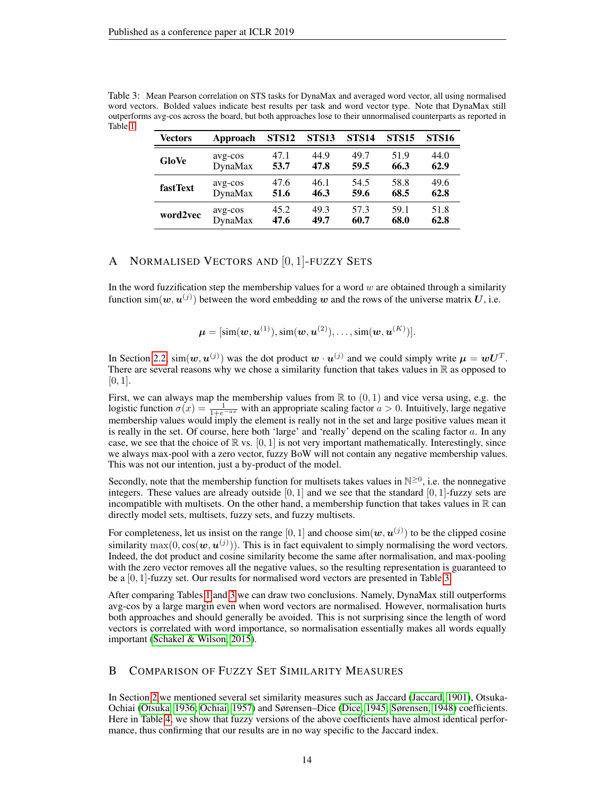| Vectors         | Approach       | STS <sub>12</sub> | <b>STS13</b> | STS <sub>14</sub> | <b>STS15</b> | <b>STS16</b> |
|-----------------|----------------|-------------------|--------------|-------------------|--------------|--------------|
| GloVe           | avg-cos        | 47.1              | 44.9         | 49.7              | 51.9         | 44.0         |
|                 | <b>DynaMax</b> | 53.7              | 47.8         | 59.5              | 66.3         | 62.9         |
| <b>fastText</b> | avg-cos        | 47.6              | 46.1         | 54.5              | 58.8         | 49.6         |
|                 | <b>DynaMax</b> | 51.6              | 46.3         | 59.6              | 68.5         | 62.8         |
| word2vec        | avg-cos        | 45.2              | 49.3         | 57.3              | 59.1         | 51.8         |
|                 | DynaMax        | 47.6              | 49.7         | 60.7              | 68.0         | 62.8         |

<span id="page-13-2"></span>Table 3: Mean Pearson correlation on STS tasks for DynaMax and averaged word vector, all using normalised word vectors. Bolded values indicate best results per task and word vector type. Note that DynaMax still outperforms avg-cos across the board, but both approaches lose to their unnormalised counterparts as reported in Table [1.](#page-7-0)

# <span id="page-13-1"></span>A NORMALISED VECTORS AND [0, 1]-FUZZY SETS

In the word fuzzification step the membership values for a word  $w$  are obtained through a similarity function sim $(w, u^{(j)})$  between the word embedding w and the rows of the universe matrix U, i.e.

$$
\boldsymbol{\mu} = [\text{sim}(\boldsymbol{w}, \boldsymbol{u}^{(1)}), \text{sim}(\boldsymbol{w}, \boldsymbol{u}^{(2)}), \dots, \text{sim}(\boldsymbol{w}, \boldsymbol{u}^{(K)})].
$$

In Section [2.2,](#page-2-1)  $\text{sim}(w, u^{(j)})$  was the dot product  $w \cdot u^{(j)}$  and we could simply write  $\mu = wU^{T}$ . There are several reasons why we chose a similarity function that takes values in  $\mathbb R$  as opposed to  $[0, 1]$ .

First, we can always map the membership values from  $\mathbb R$  to  $(0,1)$  and vice versa using, e.g. the logistic function  $\sigma(x) = \frac{1}{1+e^{-ax}}$  with an appropriate scaling factor  $a > 0$ . Intuitively, large negative membership values would imply the element is really not in the set and large positive values mean it is really in the set. Of course, here both 'large' and 'really' depend on the scaling factor  $a$ . In any case, we see that the choice of  $\mathbb R$  vs.  $[0, 1]$  is not very important mathematically. Interestingly, since we always max-pool with a zero vector, fuzzy BoW will not contain any negative membership values. This was not our intention, just a by-product of the model.

Secondly, note that the membership function for multisets takes values in  $\mathbb{N}^{\geq 0}$ , i.e. the nonnegative integers. These values are already outside  $[0, 1]$  and we see that the standard  $[0, 1]$ -fuzzy sets are incompatible with multisets. On the other hand, a membership function that takes values in  $\mathbb R$  can directly model sets, multisets, fuzzy sets, and fuzzy multisets.

For completeness, let us insist on the range [0, 1] and choose  $\sin(w, u^{(j)})$  to be the clipped cosine similarity  $\max(0, \cos(w, u^{(j)}))$ . This is in fact equivalent to simply normalising the word vectors. Indeed, the dot product and cosine similarity become the same after normalisation, and max-pooling with the zero vector removes all the negative values, so the resulting representation is guaranteed to be a [0, 1]-fuzzy set. Our results for normalised word vectors are presented in Table [3.](#page-13-2)

After comparing Tables [1](#page-7-0) and [3](#page-13-2) we can draw two conclusions. Namely, DynaMax still outperforms avg-cos by a large margin even when word vectors are normalised. However, normalisation hurts both approaches and should generally be avoided. This is not surprising since the length of word vectors is correlated with word importance, so normalisation essentially makes all words equally important [\(Schakel & Wilson, 2015\)](#page-11-14).

# <span id="page-13-0"></span>B COMPARISON OF FUZZY SET SIMILARITY MEASURES

In Section [2](#page-1-0) we mentioned several set similarity measures such as Jaccard [\(Jaccard, 1901\)](#page-10-14), Otsuka-Ochiai [\(Otsuka, 1936;](#page-11-15) [Ochiai, 1957\)](#page-11-16) and Sørensen–Dice [\(Dice, 1945;](#page-9-14) [Sørensen, 1948\)](#page-11-17) coefficients. Here in Table [4,](#page-14-2) we show that fuzzy versions of the above coefficients have almost identical performance, thus confirming that our results are in no way specific to the Jaccard index.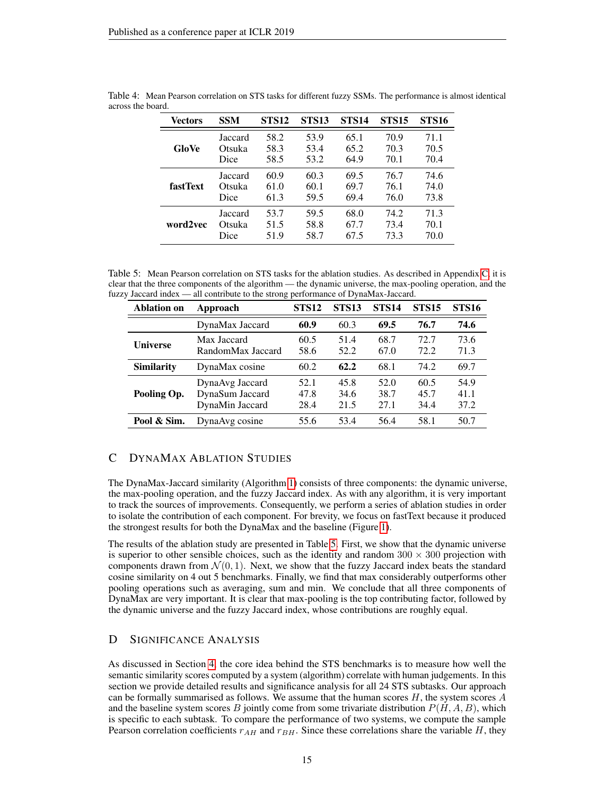| Vectors         | <b>SSM</b> | <b>STS12</b> | <b>STS13</b> | <b>STS14</b> | <b>STS15</b> | <b>STS16</b> |
|-----------------|------------|--------------|--------------|--------------|--------------|--------------|
| GloVe           | Jaccard    | 58.2         | 53.9         | 65.1         | 70.9         | 71.1         |
|                 | Otsuka     | 58.3         | 53.4         | 65.2         | 70.3         | 70.5         |
|                 | Dice       | 58.5         | 53.2         | 64.9         | 70.1         | 70.4         |
| <b>fastText</b> | Jaccard    | 60.9         | 60.3         | 69.5         | 76.7         | 74.6         |
|                 | Otsuka     | 61.0         | 60.1         | 69.7         | 76.1         | 74.0         |
|                 | Dice       | 61.3         | 59.5         | 69.4         | 76.0         | 73.8         |
| word2vec        | Jaccard    | 53.7         | 59.5         | 68.0         | 74.2         | 71.3         |
|                 | Otsuka     | 51.5         | 58.8         | 67.7         | 73.4         | 70.1         |
|                 | Dice       | 51.9         | 58.7         | 67.5         | 73.3         | 70.0         |

<span id="page-14-2"></span>Table 4: Mean Pearson correlation on STS tasks for different fuzzy SSMs. The performance is almost identical across the board.

<span id="page-14-3"></span>Table 5: Mean Pearson correlation on STS tasks for the ablation studies. As described in Appendix [C,](#page-14-0) it is clear that the three components of the algorithm — the dynamic universe, the max-pooling operation, and the fuzzy Jaccard index — all contribute to the strong performance of DynaMax-Jaccard.

| <b>Ablation on</b> | Approach                                              | <b>STS12</b>         | <b>STS13</b>         | <b>STS14</b>         | <b>STS15</b>         | <b>STS16</b>         |
|--------------------|-------------------------------------------------------|----------------------|----------------------|----------------------|----------------------|----------------------|
|                    | DynaMax Jaccard                                       | 60.9                 | 60.3                 | 69.5                 | 76.7                 | 74.6                 |
| <b>Universe</b>    | Max Jaccard<br>RandomMax Jaccard                      | 60.5<br>58.6         | 51.4<br>52.2         | 68.7<br>67.0         | 72.7<br>72.2         | 73.6<br>71.3         |
| <b>Similarity</b>  | DynaMax cosine                                        | 60.2                 | 62.2                 | 68.1                 | 74.2                 | 69.7                 |
| Pooling Op.        | DynaAvg Jaccard<br>DynaSum Jaccard<br>DynaMin Jaccard | 52.1<br>47.8<br>28.4 | 45.8<br>34.6<br>21.5 | 52.0<br>38.7<br>27.1 | 60.5<br>45.7<br>34.4 | 54.9<br>41.1<br>37.2 |
| Pool & Sim.        | Dyna Avg cosine                                       | 55.6                 | 53.4                 | 56.4                 | 58.1                 | 50.7                 |

# <span id="page-14-0"></span>C DYNAMAX ABLATION STUDIES

The DynaMax-Jaccard similarity (Algorithm [1\)](#page-3-0) consists of three components: the dynamic universe, the max-pooling operation, and the fuzzy Jaccard index. As with any algorithm, it is very important to track the sources of improvements. Consequently, we perform a series of ablation studies in order to isolate the contribution of each component. For brevity, we focus on fastText because it produced the strongest results for both the DynaMax and the baseline (Figure [1\)](#page-5-1).

The results of the ablation study are presented in Table [5.](#page-14-3) First, we show that the dynamic universe is superior to other sensible choices, such as the identity and random  $300 \times 300$  projection with components drawn from  $\mathcal{N}(0, 1)$ . Next, we show that the fuzzy Jaccard index beats the standard cosine similarity on 4 out 5 benchmarks. Finally, we find that max considerably outperforms other pooling operations such as averaging, sum and min. We conclude that all three components of DynaMax are very important. It is clear that max-pooling is the top contributing factor, followed by the dynamic universe and the fuzzy Jaccard index, whose contributions are roughly equal.

# <span id="page-14-1"></span>D SIGNIFICANCE ANALYSIS

As discussed in Section [4,](#page-5-0) the core idea behind the STS benchmarks is to measure how well the semantic similarity scores computed by a system (algorithm) correlate with human judgements. In this section we provide detailed results and significance analysis for all 24 STS subtasks. Our approach can be formally summarised as follows. We assume that the human scores  $H$ , the system scores  $A$ and the baseline system scores B jointly come from some trivariate distribution  $P(H, A, B)$ , which is specific to each subtask. To compare the performance of two systems, we compute the sample Pearson correlation coefficients  $r_{AH}$  and  $r_{BH}$ . Since these correlations share the variable H, they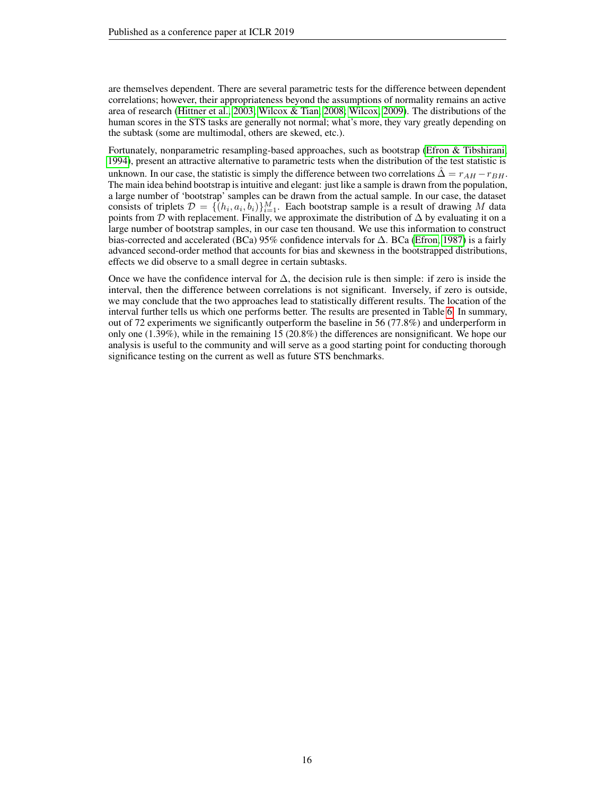are themselves dependent. There are several parametric tests for the difference between dependent correlations; however, their appropriateness beyond the assumptions of normality remains an active area of research [\(Hittner et al., 2003;](#page-10-15) [Wilcox & Tian, 2008;](#page-12-12) [Wilcox, 2009\)](#page-12-13). The distributions of the human scores in the STS tasks are generally not normal; what's more, they vary greatly depending on the subtask (some are multimodal, others are skewed, etc.).

Fortunately, nonparametric resampling-based approaches, such as bootstrap [\(Efron & Tibshirani,](#page-9-15) [1994\)](#page-9-15), present an attractive alternative to parametric tests when the distribution of the test statistic is unknown. In our case, the statistic is simply the difference between two correlations  $\Delta = r_{AH} - r_{BH}$ . The main idea behind bootstrap is intuitive and elegant: just like a sample is drawn from the population, a large number of 'bootstrap' samples can be drawn from the actual sample. In our case, the dataset consists of triplets  $\mathcal{D} = \{ (h_i, a_i, b_i) \}_{i=1}^M$ . Each bootstrap sample is a result of drawing M data points from D with replacement. Finally, we approximate the distribution of  $\Delta$  by evaluating it on a large number of bootstrap samples, in our case ten thousand. We use this information to construct bias-corrected and accelerated (BCa) 95% confidence intervals for ∆. BCa [\(Efron, 1987\)](#page-9-8) is a fairly advanced second-order method that accounts for bias and skewness in the bootstrapped distributions, effects we did observe to a small degree in certain subtasks.

Once we have the confidence interval for  $\Delta$ , the decision rule is then simple: if zero is inside the interval, then the difference between correlations is not significant. Inversely, if zero is outside, we may conclude that the two approaches lead to statistically different results. The location of the interval further tells us which one performs better. The results are presented in Table [6.](#page-16-0) In summary, out of 72 experiments we significantly outperform the baseline in 56 (77.8%) and underperform in only one (1.39%), while in the remaining 15 (20.8%) the differences are nonsignificant. We hope our analysis is useful to the community and will serve as a good starting point for conducting thorough significance testing on the current as well as future STS benchmarks.